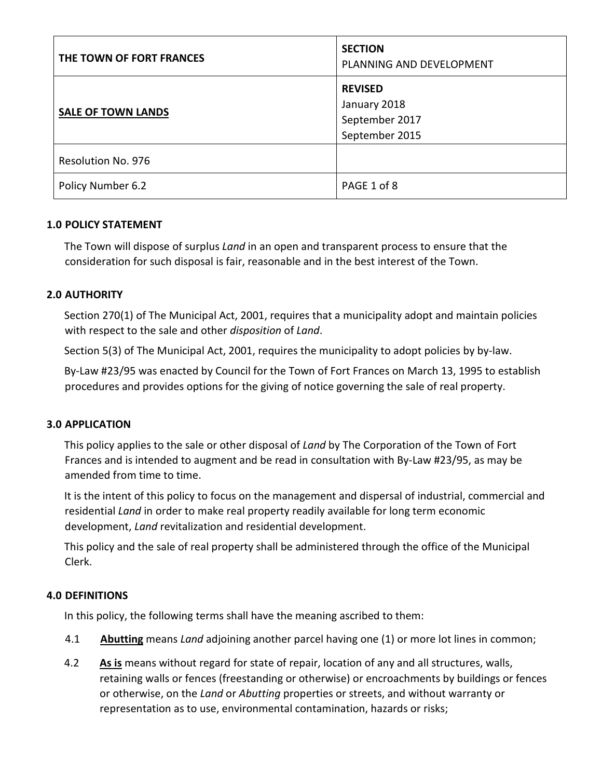| THE TOWN OF FORT FRANCES  | <b>SECTION</b><br>PLANNING AND DEVELOPMENT                         |
|---------------------------|--------------------------------------------------------------------|
| <b>SALE OF TOWN LANDS</b> | <b>REVISED</b><br>January 2018<br>September 2017<br>September 2015 |
| Resolution No. 976        |                                                                    |
| Policy Number 6.2         | PAGE 1 of 8                                                        |

#### **1.0 POLICY STATEMENT**

The Town will dispose of surplus *Land* in an open and transparent process to ensure that the consideration for such disposal is fair, reasonable and in the best interest of the Town.

#### **2.0 AUTHORITY**

Section 270(1) of The Municipal Act, 2001, requires that a municipality adopt and maintain policies with respect to the sale and other *disposition* of *Land*.

Section 5(3) of The Municipal Act, 2001, requires the municipality to adopt policies by by-law.

By‐Law #23/95 was enacted by Council for the Town of Fort Frances on March 13, 1995 to establish procedures and provides options for the giving of notice governing the sale of real property.

#### **3.0 APPLICATION**

This policy applies to the sale or other disposal of *Land* by The Corporation of the Town of Fort Frances and is intended to augment and be read in consultation with By‐Law #23/95, as may be amended from time to time.

It is the intent of this policy to focus on the management and dispersal of industrial, commercial and residential *Land* in order to make real property readily available for long term economic development, *Land* revitalization and residential development.

This policy and the sale of real property shall be administered through the office of the Municipal Clerk.

#### **4.0 DEFINITIONS**

In this policy, the following terms shall have the meaning ascribed to them:

- 4.1 **Abutting** means *Land* adjoining another parcel having one (1) or more lot lines in common;
- 4.2 **As is** means without regard for state of repair, location of any and all structures, walls, retaining walls or fences (freestanding or otherwise) or encroachments by buildings or fences or otherwise, on the *Land* or *Abutting* properties or streets, and without warranty or representation as to use, environmental contamination, hazards or risks;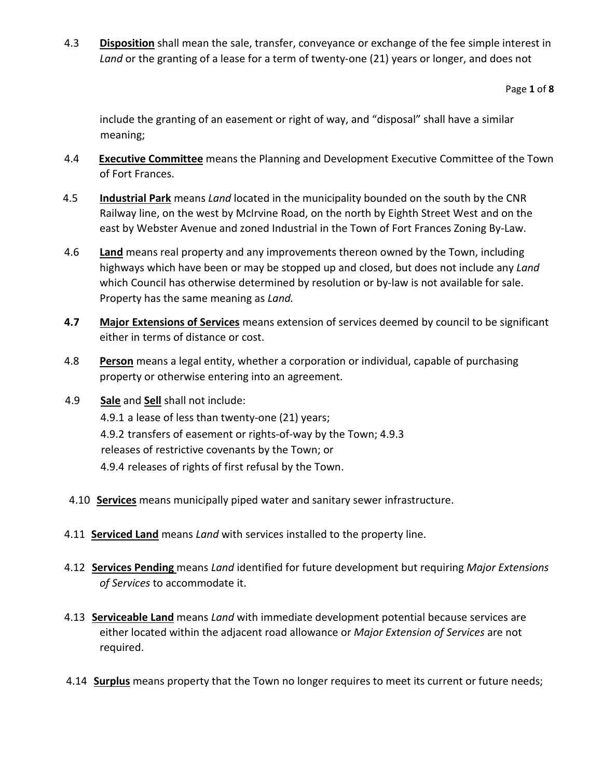4.3 **Disposition** shall mean the sale, transfer, conveyance or exchange of the fee simple interest in Land or the granting of a lease for a term of twenty-one (21) years or longer, and does not

Page **1** of **8**

include the granting of an easement or right of way, and "disposal" shall have a similar meaning;

- 4.4 **Executive Committee** means the Planning and Development Executive Committee of the Town of Fort Frances.
- 4.5 **Industrial Park** means *Land* located in the municipality bounded on the south by the CNR Railway line, on the west by McIrvine Road, on the north by Eighth Street West and on the east by Webster Avenue and zoned Industrial in the Town of Fort Frances Zoning By‐Law.
- 4.6 **Land** means real property and any improvements thereon owned by the Town, including highways which have been or may be stopped up and closed, but does not include any *Land* which Council has otherwise determined by resolution or by-law is not available for sale. Property has the same meaning as *Land.*
- **4.7 Major Extensions of Services** means extension of services deemed by council to be significant either in terms of distance or cost.
- 4.8 **Person** means a legal entity, whether a corporation or individual, capable of purchasing property or otherwise entering into an agreement.
- 4.9 **Sale** and **Sell** shall not include: 4.9.1 a lease of less than twenty-one (21) years; 4.9.2 transfers of easement or rights‐of‐way by the Town; 4.9.3 releases of restrictive covenants by the Town; or 4.9.4 releases of rights of first refusal by the Town.
- 4.10 **Services** means municipally piped water and sanitary sewer infrastructure.
- 4.11 **Serviced Land** means *Land* with services installed to the property line.
- 4.12 **Services Pending** means *Land* identified for future development but requiring *Major Extensions of Services* to accommodate it.
- 4.13 **Serviceable Land** means *Land* with immediate development potential because services are either located within the adjacent road allowance or *Major Extension of Services* are not required.
- 4.14 **Surplus** means property that the Town no longer requires to meet its current or future needs;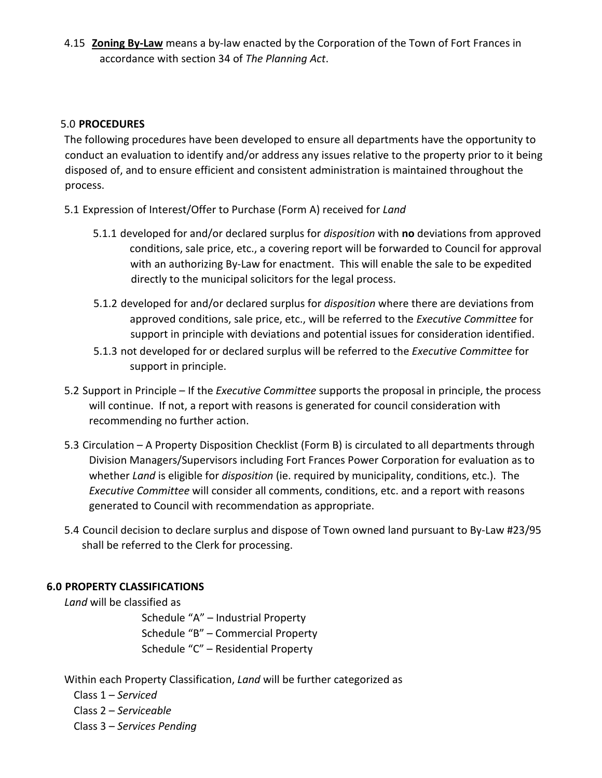4.15 **Zoning By‐Law** means a by‐law enacted by the Corporation of the Town of Fort Frances in accordance with section 34 of *The Planning Act*.

#### 5.0 **PROCEDURES**

The following procedures have been developed to ensure all departments have the opportunity to conduct an evaluation to identify and/or address any issues relative to the property prior to it being disposed of, and to ensure efficient and consistent administration is maintained throughout the process.

- 5.1 Expression of Interest/Offer to Purchase (Form A) received for *Land*
	- 5.1.1 developed for and/or declared surplus for *disposition* with **no** deviations from approved conditions, sale price, etc., a covering report will be forwarded to Council for approval with an authorizing By‐Law for enactment. This will enable the sale to be expedited directly to the municipal solicitors for the legal process.
	- 5.1.2 developed for and/or declared surplus for *disposition* where there are deviations from approved conditions, sale price, etc., will be referred to the *Executive Committee* for support in principle with deviations and potential issues for consideration identified.
	- 5.1.3 not developed for or declared surplus will be referred to the *Executive Committee* for support in principle.
- 5.2 Support in Principle If the *Executive Committee* supports the proposal in principle, the process will continue. If not, a report with reasons is generated for council consideration with recommending no further action.
- 5.3 Circulation A Property Disposition Checklist (Form B) is circulated to all departments through Division Managers/Supervisors including Fort Frances Power Corporation for evaluation as to whether *Land* is eligible for *disposition* (ie. required by municipality, conditions, etc.). The *Executive Committee* will consider all comments, conditions, etc. and a report with reasons generated to Council with recommendation as appropriate.
- 5.4 Council decision to declare surplus and dispose of Town owned land pursuant to By-Law #23/95 shall be referred to the Clerk for processing.

## **6.0 PROPERTY CLASSIFICATIONS**

*Land* will be classified as

 Schedule "A" – Industrial Property Schedule "B" – Commercial Property Schedule "C" – Residential Property

Within each Property Classification, *Land* will be further categorized as

 Class 1 – *Serviced* Class 2 – *Serviceable* Class 3 – *Services Pending*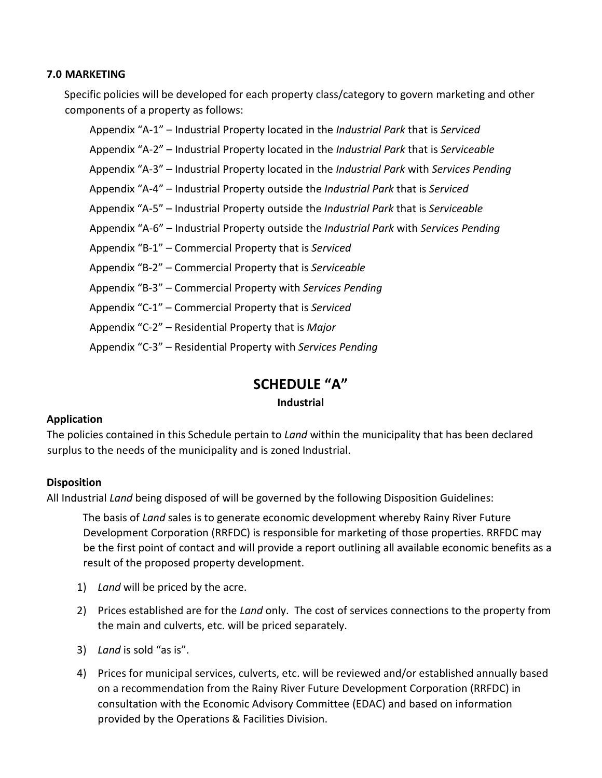#### **7.0 MARKETING**

Specific policies will be developed for each property class/category to govern marketing and other components of a property as follows:

 Appendix "A‐1" – Industrial Property located in the *Industrial Park* that is *Serviced* Appendix "A‐2" – Industrial Property located in the *Industrial Park* that is *Serviceable* Appendix "A‐3" – Industrial Property located in the *Industrial Park* with *Services Pending* Appendix "A‐4" – Industrial Property outside the *Industrial Park* that is *Serviced* Appendix "A‐5" – Industrial Property outside the *Industrial Park* that is *Serviceable* Appendix "A‐6" – Industrial Property outside the *Industrial Park* with *Services Pending* Appendix "B‐1" – Commercial Property that is *Serviced* Appendix "B‐2" – Commercial Property that is *Serviceable* Appendix "B‐3" – Commercial Property with *Services Pending* Appendix "C‐1" – Commercial Property that is *Serviced* Appendix "C‐2" – Residential Property that is *Major* Appendix "C‐3" – Residential Property with *Services Pending*

# **SCHEDULE "A"**

## **Industrial**

## **Application**

The policies contained in this Schedule pertain to *Land* within the municipality that has been declared surplus to the needs of the municipality and is zoned Industrial.

## **Disposition**

All Industrial *Land* being disposed of will be governed by the following Disposition Guidelines:

The basis of *Land* sales is to generate economic development whereby Rainy River Future Development Corporation (RRFDC) is responsible for marketing of those properties. RRFDC may be the first point of contact and will provide a report outlining all available economic benefits as a result of the proposed property development.

- 1) *Land* will be priced by the acre.
- 2) Prices established are for the *Land* only. The cost of services connections to the property from the main and culverts, etc. will be priced separately.
- 3) *Land* is sold "as is".
- 4) Prices for municipal services, culverts, etc. will be reviewed and/or established annually based on a recommendation from the Rainy River Future Development Corporation (RRFDC) in consultation with the Economic Advisory Committee (EDAC) and based on information provided by the Operations & Facilities Division.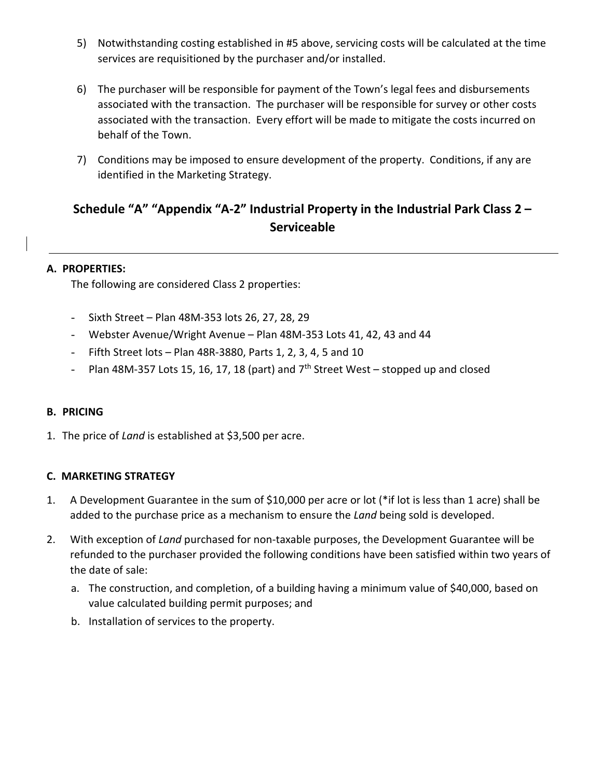- 5) Notwithstanding costing established in #5 above, servicing costs will be calculated at the time services are requisitioned by the purchaser and/or installed.
- 6) The purchaser will be responsible for payment of the Town's legal fees and disbursements associated with the transaction. The purchaser will be responsible for survey or other costs associated with the transaction. Every effort will be made to mitigate the costs incurred on behalf of the Town.
- 7) Conditions may be imposed to ensure development of the property. Conditions, if any are identified in the Marketing Strategy.

# **Schedule "A" "Appendix "A‐2" Industrial Property in the Industrial Park Class 2 – Serviceable**

#### **A. PROPERTIES:**

The following are considered Class 2 properties:

- Sixth Street Plan 48M‐353 lots 26, 27, 28, 29
- Webster Avenue/Wright Avenue Plan 48M‐353 Lots 41, 42, 43 and 44
- Fifth Street lots Plan 48R‐3880, Parts 1, 2, 3, 4, 5 and 10
- Plan 48M-357 Lots 15, 16, 17, 18 (part) and  $7<sup>th</sup>$  Street West stopped up and closed

#### **B. PRICING**

1. The price of *Land* is established at \$3,500 per acre.

#### **C. MARKETING STRATEGY**

- 1. A Development Guarantee in the sum of \$10,000 per acre or lot (\*if lot is less than 1 acre) shall be added to the purchase price as a mechanism to ensure the *Land* being sold is developed.
- 2. With exception of *Land* purchased for non-taxable purposes, the Development Guarantee will be refunded to the purchaser provided the following conditions have been satisfied within two years of the date of sale:
	- a. The construction, and completion, of a building having a minimum value of \$40,000, based on value calculated building permit purposes; and
	- b. Installation of services to the property.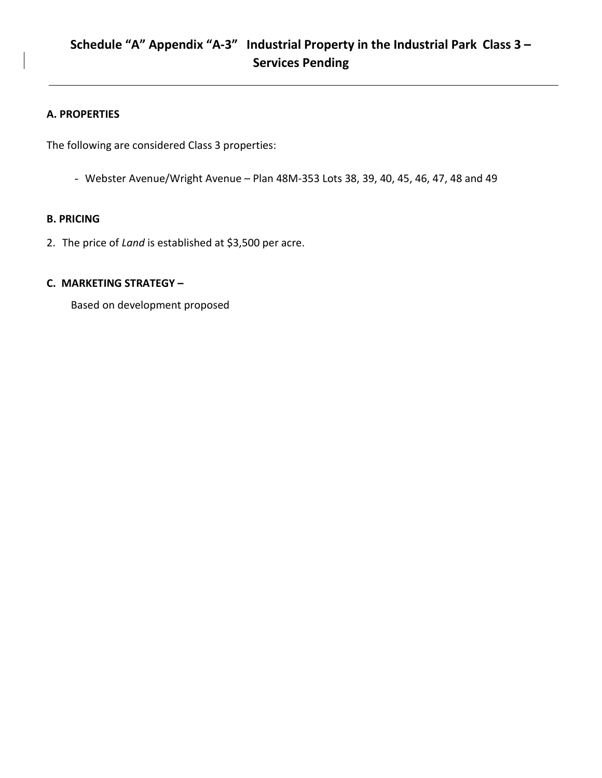## **A. PROPERTIES**

The following are considered Class 3 properties:

- Webster Avenue/Wright Avenue – Plan 48M‐353 Lots 38, 39, 40, 45, 46, 47, 48 and 49

#### **B. PRICING**

2. The price of *Land* is established at \$3,500 per acre.

#### **C. MARKETING STRATEGY –**

Based on development proposed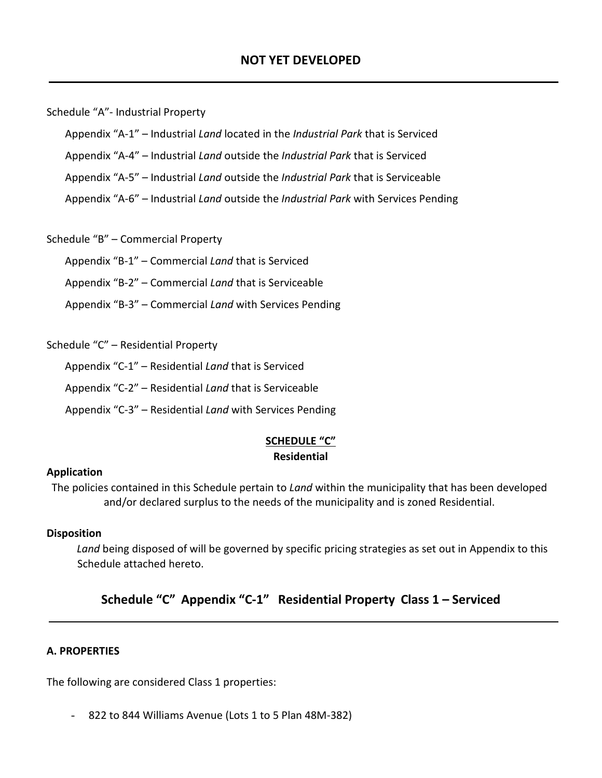Schedule "A"‐ Industrial Property

Appendix "A‐1" – Industrial *Land* located in the *Industrial Park* that is Serviced

Appendix "A‐4" – Industrial *Land* outside the *Industrial Park* that is Serviced

Appendix "A‐5" – Industrial *Land* outside the *Industrial Park* that is Serviceable

Appendix "A‐6" – Industrial *Land* outside the *Industrial Park* with Services Pending

Schedule "B" – Commercial Property

Appendix "B‐1" – Commercial *Land* that is Serviced

Appendix "B‐2" – Commercial *Land* that is Serviceable

Appendix "B‐3" – Commercial *Land* with Services Pending

Schedule "C" – Residential Property

Appendix "C‐1" – Residential *Land* that is Serviced

Appendix "C‐2" – Residential *Land* that is Serviceable

Appendix "C‐3" – Residential *Land* with Services Pending

#### **SCHEDULE "C" Residential**

#### **Application**

The policies contained in this Schedule pertain to *Land* within the municipality that has been developed and/or declared surplus to the needs of the municipality and is zoned Residential.

## **Disposition**

*Land* being disposed of will be governed by specific pricing strategies as set out in Appendix to this Schedule attached hereto.

## **Schedule "C" Appendix "C‐1" Residential Property Class 1 – Serviced**

## **A. PROPERTIES**

The following are considered Class 1 properties:

- 822 to 844 Williams Avenue (Lots 1 to 5 Plan 48M‐382)